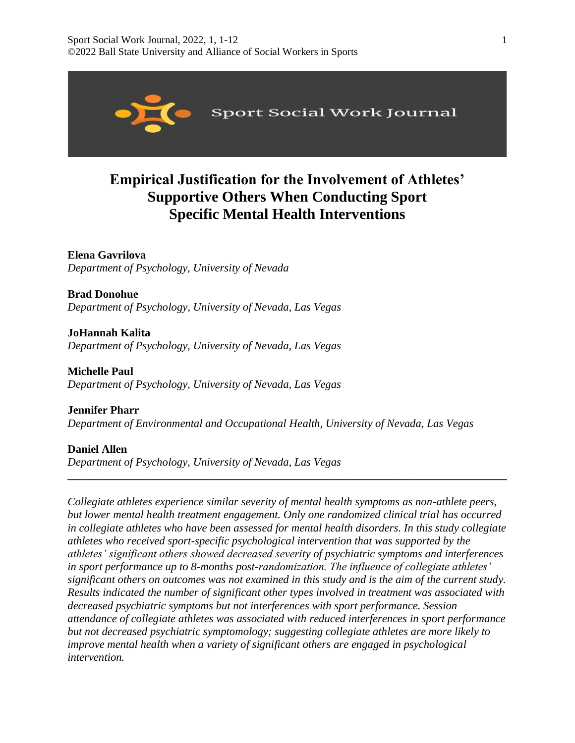

# **Empirical Justification for the Involvement of Athletes' Supportive Others When Conducting Sport Specific Mental Health Interventions**

**Elena Gavrilova**  *Department of Psychology, University of Nevada* 

**Brad Donohue**  *Department of Psychology, University of Nevada, Las Vegas*

**JoHannah Kalita**  *Department of Psychology, University of Nevada, Las Vegas* 

**Michelle Paul**  *Department of Psychology, University of Nevada, Las Vegas*

**Jennifer Pharr**  *Department of Environmental and Occupational Health, University of Nevada, Las Vegas*

**Daniel Allen**  *Department of Psychology, University of Nevada, Las Vegas* 

*Collegiate athletes experience similar severity of mental health symptoms as non-athlete peers, but lower mental health treatment engagement. Only one randomized clinical trial has occurred in collegiate athletes who have been assessed for mental health disorders. In this study collegiate athletes who received sport-specific psychological intervention that was supported by the athletes' significant others showed decreased severity of psychiatric symptoms and interferences in sport performance up to 8-months post-randomization. The influence of collegiate athletes' significant others on outcomes was not examined in this study and is the aim of the current study. Results indicated the number of significant other types involved in treatment was associated with decreased psychiatric symptoms but not interferences with sport performance. Session attendance of collegiate athletes was associated with reduced interferences in sport performance but not decreased psychiatric symptomology; suggesting collegiate athletes are more likely to improve mental health when a variety of significant others are engaged in psychological intervention.*

**\_\_\_\_\_\_\_\_\_\_\_\_\_\_\_\_\_\_\_\_\_\_\_\_\_\_\_\_\_\_\_\_\_\_\_\_\_\_\_\_\_\_\_\_\_\_\_\_\_\_\_\_\_\_\_\_\_\_\_\_\_\_\_\_\_\_\_\_\_\_\_\_\_\_\_\_\_\_**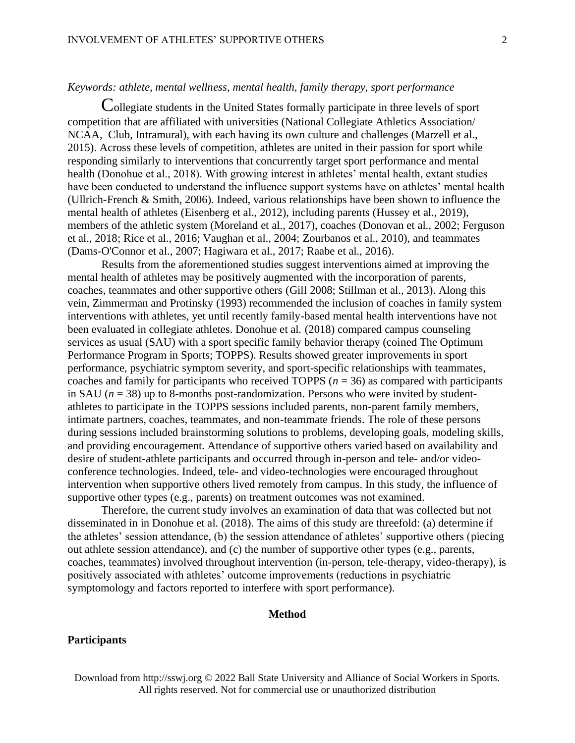# *Keywords: athlete, mental wellness, mental health, family therapy, sport performance*

Collegiate students in the United States formally participate in three levels of sport competition that are affiliated with universities (National Collegiate Athletics Association/ NCAA, Club, Intramural), with each having its own culture and challenges (Marzell et al., 2015). Across these levels of competition, athletes are united in their passion for sport while responding similarly to interventions that concurrently target sport performance and mental health (Donohue et al., 2018). With growing interest in athletes' mental health, extant studies have been conducted to understand the influence support systems have on athletes' mental health (Ullrich-French & Smith, 2006). Indeed, various relationships have been shown to influence the mental health of athletes (Eisenberg et al., 2012), including parents (Hussey et al., 2019), members of the athletic system (Moreland et al., 2017), coaches (Donovan et al., 2002; Ferguson et al., 2018; Rice et al., 2016; Vaughan et al., 2004; Zourbanos et al., 2010), and teammates (Dams-O'Connor et al., 2007; Hagiwara et al., 2017; Raabe et al., 2016).

Results from the aforementioned studies suggest interventions aimed at improving the mental health of athletes may be positively augmented with the incorporation of parents, coaches, teammates and other supportive others (Gill 2008; Stillman et al., 2013). Along this vein, Zimmerman and Protinsky (1993) recommended the inclusion of coaches in family system interventions with athletes, yet until recently family-based mental health interventions have not been evaluated in collegiate athletes. Donohue et al. (2018) compared campus counseling services as usual (SAU) with a sport specific family behavior therapy (coined The Optimum Performance Program in Sports; TOPPS). Results showed greater improvements in sport performance, psychiatric symptom severity, and sport-specific relationships with teammates, coaches and family for participants who received TOPPS ( $n = 36$ ) as compared with participants in SAU  $(n = 38)$  up to 8-months post-randomization. Persons who were invited by studentathletes to participate in the TOPPS sessions included parents, non-parent family members, intimate partners, coaches, teammates, and non-teammate friends. The role of these persons during sessions included brainstorming solutions to problems, developing goals, modeling skills, and providing encouragement. Attendance of supportive others varied based on availability and desire of student-athlete participants and occurred through in-person and tele- and/or videoconference technologies. Indeed, tele- and video-technologies were encouraged throughout intervention when supportive others lived remotely from campus. In this study, the influence of supportive other types (e.g., parents) on treatment outcomes was not examined.

Therefore, the current study involves an examination of data that was collected but not disseminated in in Donohue et al. (2018). The aims of this study are threefold: (a) determine if the athletes' session attendance, (b) the session attendance of athletes' supportive others (piecing out athlete session attendance), and (c) the number of supportive other types (e.g., parents, coaches, teammates) involved throughout intervention (in-person, tele-therapy, video-therapy), is positively associated with athletes' outcome improvements (reductions in psychiatric symptomology and factors reported to interfere with sport performance).

# **Method**

# **Participants**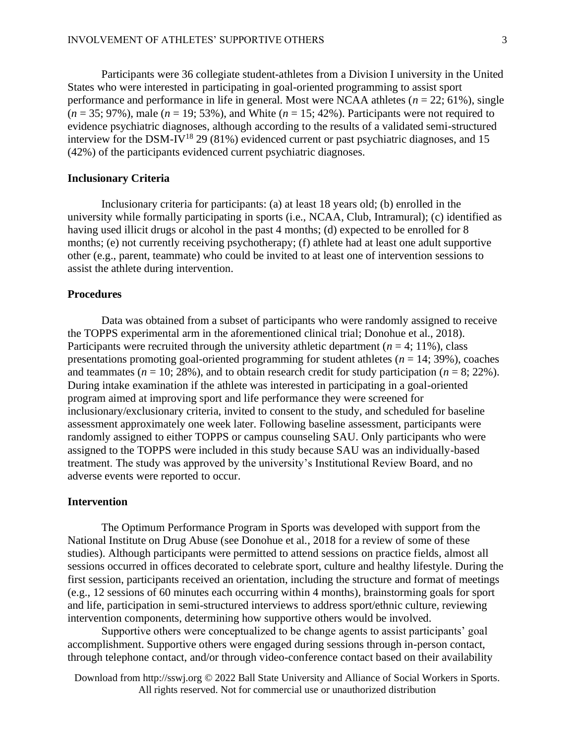Participants were 36 collegiate student-athletes from a Division I university in the United States who were interested in participating in goal-oriented programming to assist sport performance and performance in life in general. Most were NCAA athletes (*n* = 22; 61%), single  $(n = 35; 97\%)$ , male  $(n = 19; 53\%)$ , and White  $(n = 15; 42\%)$ . Participants were not required to evidence psychiatric diagnoses, although according to the results of a validated semi-structured interview for the DSM-IV<sup>18</sup> 29 (81%) evidenced current or past psychiatric diagnoses, and 15 (42%) of the participants evidenced current psychiatric diagnoses.

# **Inclusionary Criteria**

Inclusionary criteria for participants: (a) at least 18 years old; (b) enrolled in the university while formally participating in sports (i.e., NCAA, Club, Intramural); (c) identified as having used illicit drugs or alcohol in the past 4 months; (d) expected to be enrolled for 8 months; (e) not currently receiving psychotherapy; (f) athlete had at least one adult supportive other (e.g., parent, teammate) who could be invited to at least one of intervention sessions to assist the athlete during intervention.

## **Procedures**

Data was obtained from a subset of participants who were randomly assigned to receive the TOPPS experimental arm in the aforementioned clinical trial; Donohue et al., 2018). Participants were recruited through the university athletic department  $(n = 4; 11\%)$ , class presentations promoting goal-oriented programming for student athletes  $(n = 14; 39\%)$ , coaches and teammates ( $n = 10$ ; 28%), and to obtain research credit for study participation ( $n = 8$ ; 22%). During intake examination if the athlete was interested in participating in a goal-oriented program aimed at improving sport and life performance they were screened for inclusionary/exclusionary criteria, invited to consent to the study, and scheduled for baseline assessment approximately one week later. Following baseline assessment, participants were randomly assigned to either TOPPS or campus counseling SAU. Only participants who were assigned to the TOPPS were included in this study because SAU was an individually-based treatment. The study was approved by the university's Institutional Review Board, and no adverse events were reported to occur.

#### **Intervention**

The Optimum Performance Program in Sports was developed with support from the National Institute on Drug Abuse (see Donohue et al., 2018 for a review of some of these studies). Although participants were permitted to attend sessions on practice fields, almost all sessions occurred in offices decorated to celebrate sport, culture and healthy lifestyle. During the first session, participants received an orientation, including the structure and format of meetings (e.g., 12 sessions of 60 minutes each occurring within 4 months), brainstorming goals for sport and life, participation in semi-structured interviews to address sport/ethnic culture, reviewing intervention components, determining how supportive others would be involved.

Supportive others were conceptualized to be change agents to assist participants' goal accomplishment. Supportive others were engaged during sessions through in-person contact, through telephone contact, and/or through video-conference contact based on their availability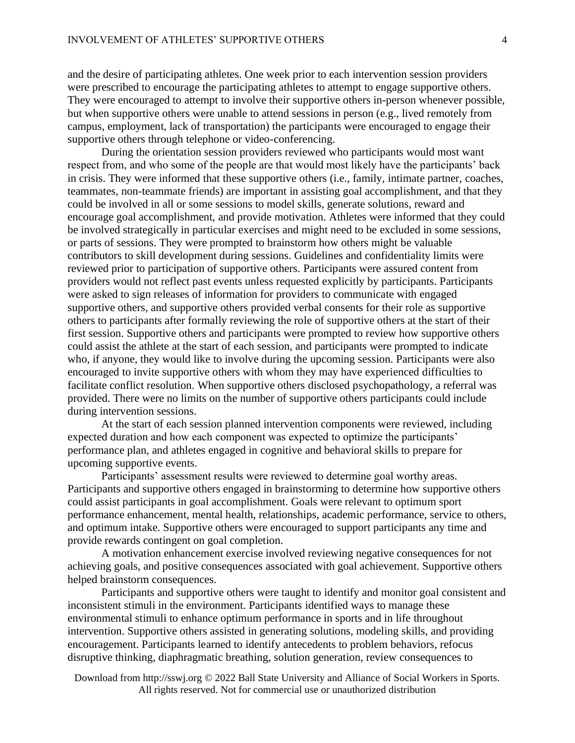and the desire of participating athletes. One week prior to each intervention session providers were prescribed to encourage the participating athletes to attempt to engage supportive others. They were encouraged to attempt to involve their supportive others in-person whenever possible, but when supportive others were unable to attend sessions in person (e.g., lived remotely from campus, employment, lack of transportation) the participants were encouraged to engage their supportive others through telephone or video-conferencing.

During the orientation session providers reviewed who participants would most want respect from, and who some of the people are that would most likely have the participants' back in crisis. They were informed that these supportive others (i.e., family, intimate partner, coaches, teammates, non-teammate friends) are important in assisting goal accomplishment, and that they could be involved in all or some sessions to model skills, generate solutions, reward and encourage goal accomplishment, and provide motivation. Athletes were informed that they could be involved strategically in particular exercises and might need to be excluded in some sessions, or parts of sessions. They were prompted to brainstorm how others might be valuable contributors to skill development during sessions. Guidelines and confidentiality limits were reviewed prior to participation of supportive others. Participants were assured content from providers would not reflect past events unless requested explicitly by participants. Participants were asked to sign releases of information for providers to communicate with engaged supportive others, and supportive others provided verbal consents for their role as supportive others to participants after formally reviewing the role of supportive others at the start of their first session. Supportive others and participants were prompted to review how supportive others could assist the athlete at the start of each session, and participants were prompted to indicate who, if anyone, they would like to involve during the upcoming session. Participants were also encouraged to invite supportive others with whom they may have experienced difficulties to facilitate conflict resolution. When supportive others disclosed psychopathology, a referral was provided. There were no limits on the number of supportive others participants could include during intervention sessions.

At the start of each session planned intervention components were reviewed, including expected duration and how each component was expected to optimize the participants' performance plan, and athletes engaged in cognitive and behavioral skills to prepare for upcoming supportive events.

Participants' assessment results were reviewed to determine goal worthy areas. Participants and supportive others engaged in brainstorming to determine how supportive others could assist participants in goal accomplishment. Goals were relevant to optimum sport performance enhancement, mental health, relationships, academic performance, service to others, and optimum intake. Supportive others were encouraged to support participants any time and provide rewards contingent on goal completion.

A motivation enhancement exercise involved reviewing negative consequences for not achieving goals, and positive consequences associated with goal achievement. Supportive others helped brainstorm consequences.

Participants and supportive others were taught to identify and monitor goal consistent and inconsistent stimuli in the environment. Participants identified ways to manage these environmental stimuli to enhance optimum performance in sports and in life throughout intervention. Supportive others assisted in generating solutions, modeling skills, and providing encouragement. Participants learned to identify antecedents to problem behaviors, refocus disruptive thinking, diaphragmatic breathing, solution generation, review consequences to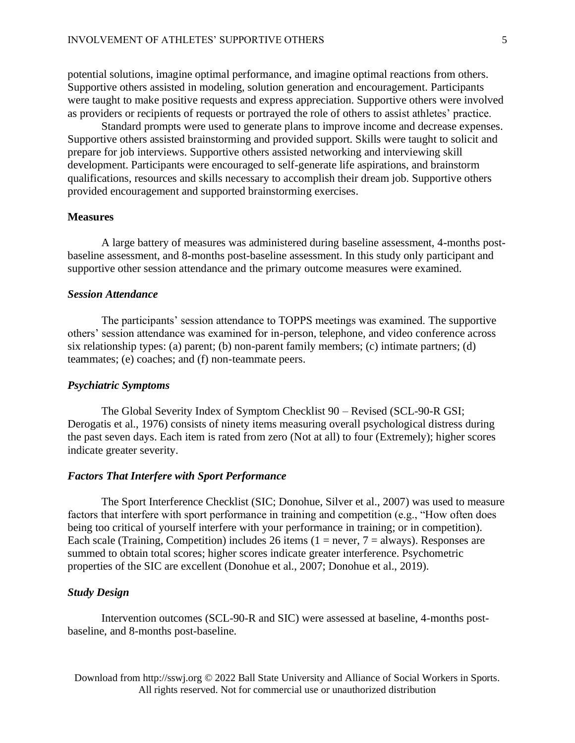potential solutions, imagine optimal performance, and imagine optimal reactions from others. Supportive others assisted in modeling, solution generation and encouragement. Participants were taught to make positive requests and express appreciation. Supportive others were involved as providers or recipients of requests or portrayed the role of others to assist athletes' practice.

Standard prompts were used to generate plans to improve income and decrease expenses. Supportive others assisted brainstorming and provided support. Skills were taught to solicit and prepare for job interviews. Supportive others assisted networking and interviewing skill development. Participants were encouraged to self-generate life aspirations, and brainstorm qualifications, resources and skills necessary to accomplish their dream job. Supportive others provided encouragement and supported brainstorming exercises.

# **Measures**

A large battery of measures was administered during baseline assessment, 4-months postbaseline assessment, and 8-months post-baseline assessment. In this study only participant and supportive other session attendance and the primary outcome measures were examined.

# *Session Attendance*

The participants' session attendance to TOPPS meetings was examined. The supportive others' session attendance was examined for in-person, telephone, and video conference across six relationship types: (a) parent; (b) non-parent family members; (c) intimate partners; (d) teammates; (e) coaches; and (f) non-teammate peers.

#### *Psychiatric Symptoms*

The Global Severity Index of Symptom Checklist 90 – Revised (SCL-90-R GSI; Derogatis et al., 1976) consists of ninety items measuring overall psychological distress during the past seven days. Each item is rated from zero (Not at all) to four (Extremely); higher scores indicate greater severity.

# *Factors That Interfere with Sport Performance*

The Sport Interference Checklist (SIC; Donohue, Silver et al., 2007) was used to measure factors that interfere with sport performance in training and competition (e.g., "How often does being too critical of yourself interfere with your performance in training; or in competition). Each scale (Training, Competition) includes 26 items ( $1 = never, 7 = always$ ). Responses are summed to obtain total scores; higher scores indicate greater interference. Psychometric properties of the SIC are excellent (Donohue et al., 2007; Donohue et al., 2019).

#### *Study Design*

Intervention outcomes (SCL-90-R and SIC) were assessed at baseline, 4-months postbaseline, and 8-months post-baseline.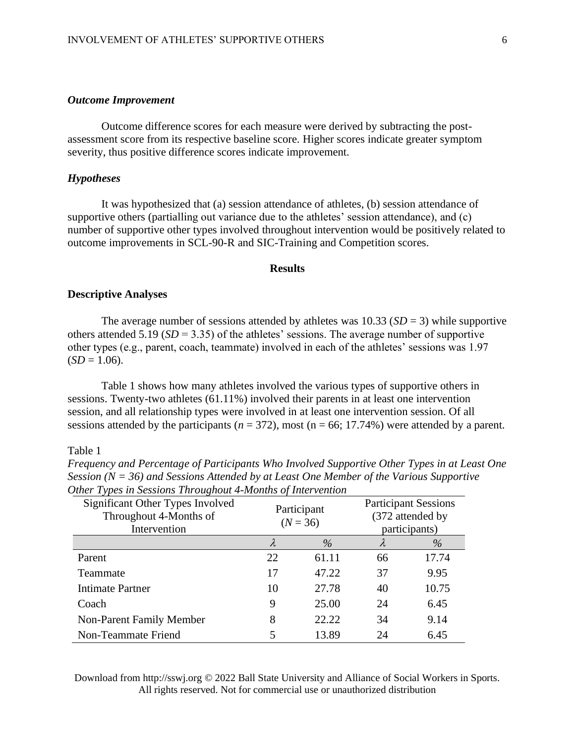# *Outcome Improvement*

Outcome difference scores for each measure were derived by subtracting the postassessment score from its respective baseline score. Higher scores indicate greater symptom severity, thus positive difference scores indicate improvement.

### *Hypotheses*

It was hypothesized that (a) session attendance of athletes, (b) session attendance of supportive others (partialling out variance due to the athletes' session attendance), and (c) number of supportive other types involved throughout intervention would be positively related to outcome improvements in SCL-90-R and SIC-Training and Competition scores.

# **Results**

# **Descriptive Analyses**

The average number of sessions attended by athletes was  $10.33$  (*SD* = 3) while supportive others attended 5.19 ( $SD = 3.35$ ) of the athletes' sessions. The average number of supportive other types (e.g., parent, coach, teammate) involved in each of the athletes' sessions was 1.97  $(SD = 1.06)$ .

Table 1 shows how many athletes involved the various types of supportive others in sessions. Twenty-two athletes (61.11%) involved their parents in at least one intervention session, and all relationship types were involved in at least one intervention session. Of all sessions attended by the participants ( $n = 372$ ), most ( $n = 66$ ; 17.74%) were attended by a parent.

# Table 1

| Significant Other Types Involved<br>Throughout 4-Months of<br>Intervention | <i>race Lypes at Sessions Lin oughout Thermas of Intervention</i><br>Participant<br>$(N = 36)$ |               | <b>Participant Sessions</b><br>(372 attended by<br>participants) |       |  |
|----------------------------------------------------------------------------|------------------------------------------------------------------------------------------------|---------------|------------------------------------------------------------------|-------|--|
|                                                                            | λ                                                                                              | $\frac{0}{0}$ | λ                                                                | $\%$  |  |
| Parent                                                                     | 22                                                                                             | 61.11         | 66                                                               | 17.74 |  |
| Teammate                                                                   | 17                                                                                             | 47.22         | 37                                                               | 9.95  |  |
| <b>Intimate Partner</b>                                                    | 10                                                                                             | 27.78         | 40                                                               | 10.75 |  |
| Coach                                                                      | 9                                                                                              | 25.00         | 24                                                               | 6.45  |  |
| Non-Parent Family Member                                                   | 8                                                                                              | 22.22         | 34                                                               | 9.14  |  |
| Non-Teammate Friend                                                        | 5                                                                                              | 13.89         | 24                                                               | 6.45  |  |

*Frequency and Percentage of Participants Who Involved Supportive Other Types in at Least One Session (N = 36) and Sessions Attended by at Least One Member of the Various Supportive Other Types in Sessions Throughout 4-Months of Intervention*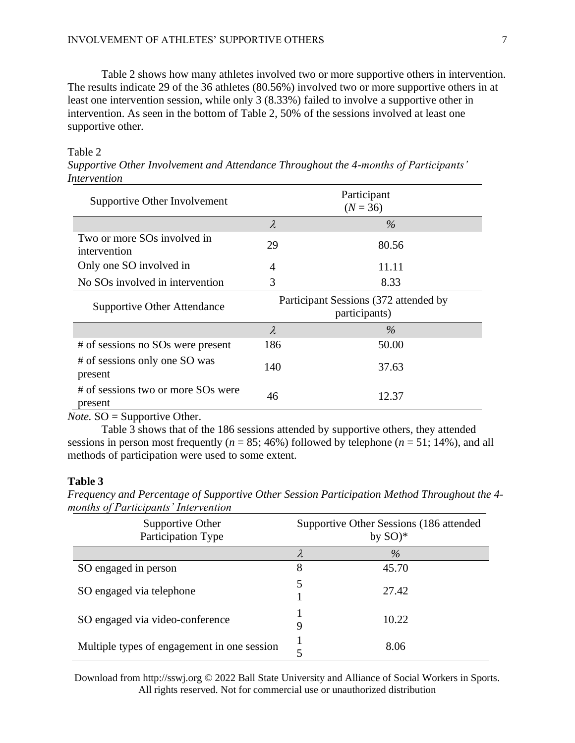Table 2 shows how many athletes involved two or more supportive others in intervention. The results indicate 29 of the 36 athletes (80.56%) involved two or more supportive others in at least one intervention session, while only 3 (8.33%) failed to involve a supportive other in intervention. As seen in the bottom of Table 2, 50% of the sessions involved at least one supportive other.

# Table 2

| 111101 <i>VCIULUI</i> I                     |                                                        |                                |  |
|---------------------------------------------|--------------------------------------------------------|--------------------------------|--|
| Supportive Other Involvement                | Participant<br>$(N = 36)$                              |                                |  |
|                                             | $\lambda$                                              | $\%$                           |  |
| Two or more SOs involved in<br>intervention | 29                                                     | 80.56                          |  |
| Only one SO involved in                     | 4                                                      | 11.11                          |  |
| No SO <sub>s</sub> involved in intervention | 3                                                      | 8.33                           |  |
| <b>Supportive Other Attendance</b>          | Participant Sessions (372 attended by<br>participants) |                                |  |
|                                             | $\lambda$                                              | $\%$                           |  |
| # of sessions no SOs were present           | 186                                                    | 50.00                          |  |
| # of sessions only one SO was<br>present    | 140                                                    | 37.63                          |  |
| # of sessions two or more SOs were          | $\sim$                                                 | $\lambda$ $\sim$ $\sim$ $\sim$ |  |

*Supportive Other Involvement and Attendance Throughout the 4-months of Participants' Intervention*

*Note.* SO = Supportive Other.

Table 3 shows that of the 186 sessions attended by supportive others, they attended sessions in person most frequently ( $n = 85$ ; 46%) followed by telephone ( $n = 51$ ; 14%), and all methods of participation were used to some extent.

46 12.37

# **Table 3**

present

*Frequency and Percentage of Supportive Other Session Participation Method Throughout the 4 months of Participants' Intervention*

| Supportive Other<br>Participation Type      | Supportive Other Sessions (186 attended<br>by $SO)*$ |       |  |
|---------------------------------------------|------------------------------------------------------|-------|--|
|                                             | λ                                                    | $\%$  |  |
| SO engaged in person                        | 8                                                    | 45.70 |  |
| SO engaged via telephone                    | 5                                                    | 27.42 |  |
| SO engaged via video-conference             | 9                                                    | 10.22 |  |
| Multiple types of engagement in one session | 5                                                    | 8.06  |  |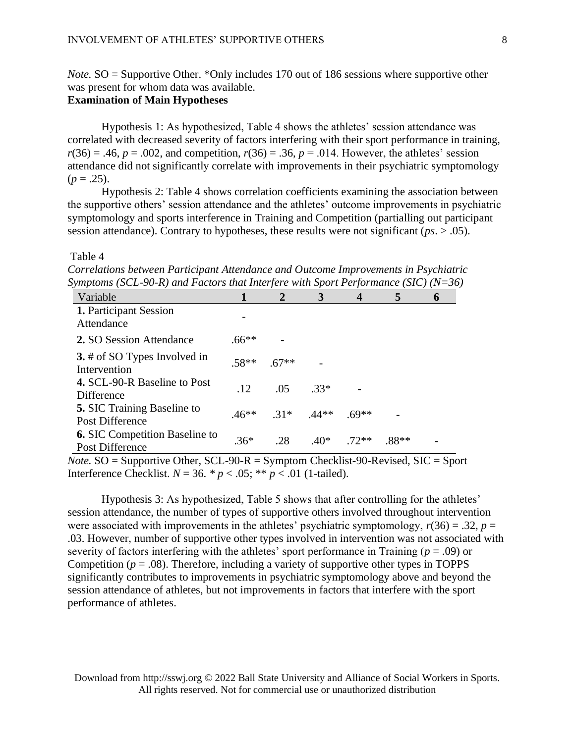*Note.* SO = Supportive Other. \*Only includes 170 out of 186 sessions where supportive other was present for whom data was available.

# **Examination of Main Hypotheses**

Hypothesis 1: As hypothesized, Table 4 shows the athletes' session attendance was correlated with decreased severity of factors interfering with their sport performance in training,  $r(36) = .46$ ,  $p = .002$ , and competition,  $r(36) = .36$ ,  $p = .014$ . However, the athletes' session attendance did not significantly correlate with improvements in their psychiatric symptomology  $(p=.25).$ 

Hypothesis 2: Table 4 shows correlation coefficients examining the association between the supportive others' session attendance and the athletes' outcome improvements in psychiatric symptomology and sports interference in Training and Competition (partialling out participant session attendance). Contrary to hypotheses, these results were not significant (*ps*. > .05).

#### Table 4

*Correlations between Participant Attendance and Outcome Improvements in Psychiatric Symptoms (SCL-90-R) and Factors that Interfere with Sport Performance (SIC) (N=36)*

| Variable                                                     | 1       | $\overline{2}$ | 3       | $\boldsymbol{4}$ | 5       | h |
|--------------------------------------------------------------|---------|----------------|---------|------------------|---------|---|
| 1. Participant Session<br>Attendance                         |         |                |         |                  |         |   |
| 2. SO Session Attendance                                     | $.66**$ |                |         |                  |         |   |
| 3. # of SO Types Involved in<br>Intervention                 | $.58**$ | $.67**$        |         |                  |         |   |
| 4. SCL-90-R Baseline to Post<br>Difference                   | .12     | .05            | $.33*$  |                  |         |   |
| <b>5.</b> SIC Training Baseline to<br><b>Post Difference</b> | $.46**$ | $.31*$         | $.44**$ | $69**$           |         |   |
| <b>6.</b> SIC Competition Baseline to<br>Post Difference     | $.36*$  | .28            | $.40*$  | $72**$           | $.88**$ |   |

*Note.*  $SO =$  Supportive Other,  $SCL-90-R =$  Symptom Checklist-90-Revised,  $SIC =$  Sport Interference Checklist. *N* = 36. *\* p* < .05; \*\* *p* < .01 (1-tailed).

Hypothesis 3: As hypothesized, Table 5 shows that after controlling for the athletes' session attendance, the number of types of supportive others involved throughout intervention were associated with improvements in the athletes' psychiatric symptomology,  $r(36) = .32$ ,  $p =$ .03. However, number of supportive other types involved in intervention was not associated with severity of factors interfering with the athletes' sport performance in Training ( $p = .09$ ) or Competition ( $p = .08$ ). Therefore, including a variety of supportive other types in TOPPS significantly contributes to improvements in psychiatric symptomology above and beyond the session attendance of athletes, but not improvements in factors that interfere with the sport performance of athletes.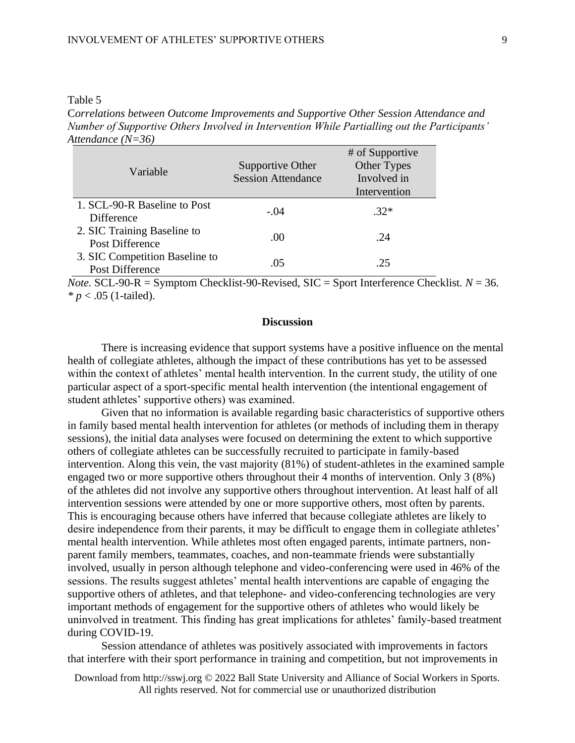#### Table 5

C*orrelations between Outcome Improvements and Supportive Other Session Attendance and Number of Supportive Others Involved in Intervention While Partialling out the Participants' Attendance (N=36)*

| Variable                                          | Supportive Other<br><b>Session Attendance</b> | # of Supportive<br>Other Types<br>Involved in<br>Intervention |
|---------------------------------------------------|-----------------------------------------------|---------------------------------------------------------------|
| 1. SCL-90-R Baseline to Post<br><b>Difference</b> | $-.04$                                        | $32*$                                                         |
| 2. SIC Training Baseline to<br>Post Difference    | .00                                           | -24                                                           |
| 3. SIC Competition Baseline to<br>Post Difference | .05                                           | 25                                                            |

*Note.* SCL-90-R = Symptom Checklist-90-Revised, SIC = Sport Interference Checklist.  $N = 36$ . *\* p* < .05 (1-tailed).

# **Discussion**

There is increasing evidence that support systems have a positive influence on the mental health of collegiate athletes, although the impact of these contributions has yet to be assessed within the context of athletes' mental health intervention. In the current study, the utility of one particular aspect of a sport-specific mental health intervention (the intentional engagement of student athletes' supportive others) was examined.

Given that no information is available regarding basic characteristics of supportive others in family based mental health intervention for athletes (or methods of including them in therapy sessions), the initial data analyses were focused on determining the extent to which supportive others of collegiate athletes can be successfully recruited to participate in family-based intervention. Along this vein, the vast majority (81%) of student-athletes in the examined sample engaged two or more supportive others throughout their 4 months of intervention. Only 3 (8%) of the athletes did not involve any supportive others throughout intervention. At least half of all intervention sessions were attended by one or more supportive others, most often by parents. This is encouraging because others have inferred that because collegiate athletes are likely to desire independence from their parents, it may be difficult to engage them in collegiate athletes' mental health intervention. While athletes most often engaged parents, intimate partners, nonparent family members, teammates, coaches, and non-teammate friends were substantially involved, usually in person although telephone and video-conferencing were used in 46% of the sessions. The results suggest athletes' mental health interventions are capable of engaging the supportive others of athletes, and that telephone- and video-conferencing technologies are very important methods of engagement for the supportive others of athletes who would likely be uninvolved in treatment. This finding has great implications for athletes' family-based treatment during COVID-19.

Session attendance of athletes was positively associated with improvements in factors that interfere with their sport performance in training and competition, but not improvements in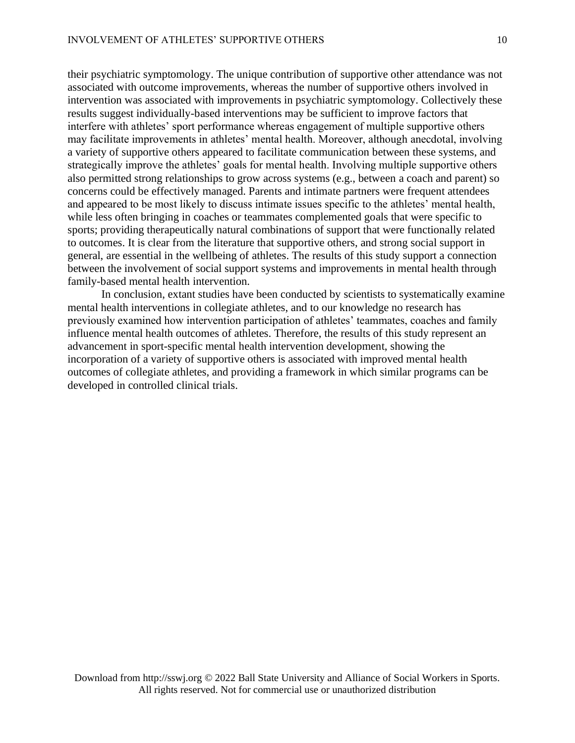their psychiatric symptomology. The unique contribution of supportive other attendance was not associated with outcome improvements, whereas the number of supportive others involved in intervention was associated with improvements in psychiatric symptomology. Collectively these results suggest individually-based interventions may be sufficient to improve factors that interfere with athletes' sport performance whereas engagement of multiple supportive others may facilitate improvements in athletes' mental health. Moreover, although anecdotal, involving a variety of supportive others appeared to facilitate communication between these systems, and strategically improve the athletes' goals for mental health. Involving multiple supportive others also permitted strong relationships to grow across systems (e.g., between a coach and parent) so concerns could be effectively managed. Parents and intimate partners were frequent attendees and appeared to be most likely to discuss intimate issues specific to the athletes' mental health, while less often bringing in coaches or teammates complemented goals that were specific to sports; providing therapeutically natural combinations of support that were functionally related to outcomes. It is clear from the literature that supportive others, and strong social support in general, are essential in the wellbeing of athletes. The results of this study support a connection between the involvement of social support systems and improvements in mental health through family-based mental health intervention.

In conclusion, extant studies have been conducted by scientists to systematically examine mental health interventions in collegiate athletes, and to our knowledge no research has previously examined how intervention participation of athletes' teammates, coaches and family influence mental health outcomes of athletes. Therefore, the results of this study represent an advancement in sport-specific mental health intervention development, showing the incorporation of a variety of supportive others is associated with improved mental health outcomes of collegiate athletes, and providing a framework in which similar programs can be developed in controlled clinical trials.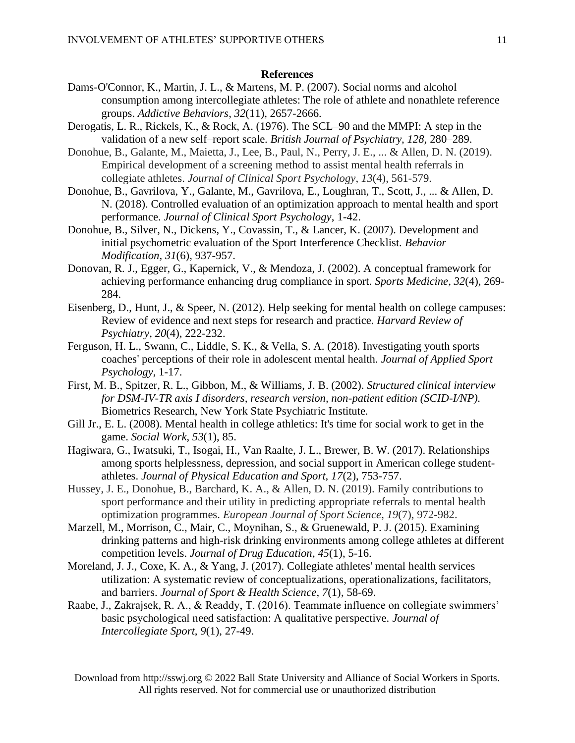# **References**

- Dams-O'Connor, K., Martin, J. L., & Martens, M. P. (2007). Social norms and alcohol consumption among intercollegiate athletes: The role of athlete and nonathlete reference groups. *Addictive Behaviors*, *32*(11), 2657-2666.
- Derogatis, L. R., Rickels, K., & Rock, A. (1976). The SCL–90 and the MMPI: A step in the validation of a new self–report scale. *British Journal of Psychiatry, 128,* 280–289.
- Donohue, B., Galante, M., Maietta, J., Lee, B., Paul, N., Perry, J. E., ... & Allen, D. N. (2019). Empirical development of a screening method to assist mental health referrals in collegiate athletes. *Journal of Clinical Sport Psychology*, *13*(4), 561-579.
- Donohue, B., Gavrilova, Y., Galante, M., Gavrilova, E., Loughran, T., Scott, J., ... & Allen, D. N. (2018). Controlled evaluation of an optimization approach to mental health and sport performance. *Journal of Clinical Sport Psychology*, 1-42.
- Donohue, B., Silver, N., Dickens, Y., Covassin, T., & Lancer, K. (2007). Development and initial psychometric evaluation of the Sport Interference Checklist. *Behavior Modification, 31*(6), 937-957.
- Donovan, R. J., Egger, G., Kapernick, V., & Mendoza, J. (2002). A conceptual framework for achieving performance enhancing drug compliance in sport. *Sports Medicine*, *32*(4), 269- 284.
- Eisenberg, D., Hunt, J., & Speer, N. (2012). Help seeking for mental health on college campuses: Review of evidence and next steps for research and practice. *Harvard Review of Psychiatry*, *20*(4), 222-232.
- Ferguson, H. L., Swann, C., Liddle, S. K., & Vella, S. A. (2018). Investigating youth sports coaches' perceptions of their role in adolescent mental health. *Journal of Applied Sport Psychology*, 1-17.
- First, M. B., Spitzer, R. L., Gibbon, M., & Williams, J. B. (2002). *Structured clinical interview for DSM-IV-TR axis I disorders, research version, non-patient edition (SCID-I/NP).* Biometrics Research, New York State Psychiatric Institute.
- Gill Jr., E. L. (2008). Mental health in college athletics: It's time for social work to get in the game. *Social Work*, *53*(1), 85.
- Hagiwara, G., Iwatsuki, T., Isogai, H., Van Raalte, J. L., Brewer, B. W. (2017). Relationships among sports helplessness, depression, and social support in American college studentathletes. *Journal of Physical Education and Sport, 17*(2), 753-757.
- Hussey, J. E., Donohue, B., Barchard, K. A., & Allen, D. N. (2019). Family contributions to sport performance and their utility in predicting appropriate referrals to mental health optimization programmes. *European Journal of Sport Science*, *19*(7), 972-982.
- Marzell, M., Morrison, C., Mair, C., Moynihan, S., & Gruenewald, P. J. (2015). Examining drinking patterns and high-risk drinking environments among college athletes at different competition levels. *Journal of Drug Education*, *45*(1), 5-16.
- Moreland, J. J., Coxe, K. A., & Yang, J. (2017). Collegiate athletes' mental health services utilization: A systematic review of conceptualizations, operationalizations, facilitators, and barriers. *Journal of Sport & Health Science*, *7*(1), 58-69.
- Raabe, J., Zakrajsek, R. A., & Readdy, T. (2016). Teammate influence on collegiate swimmers' basic psychological need satisfaction: A qualitative perspective. *Journal of Intercollegiate Sport, 9*(1), 27-49.